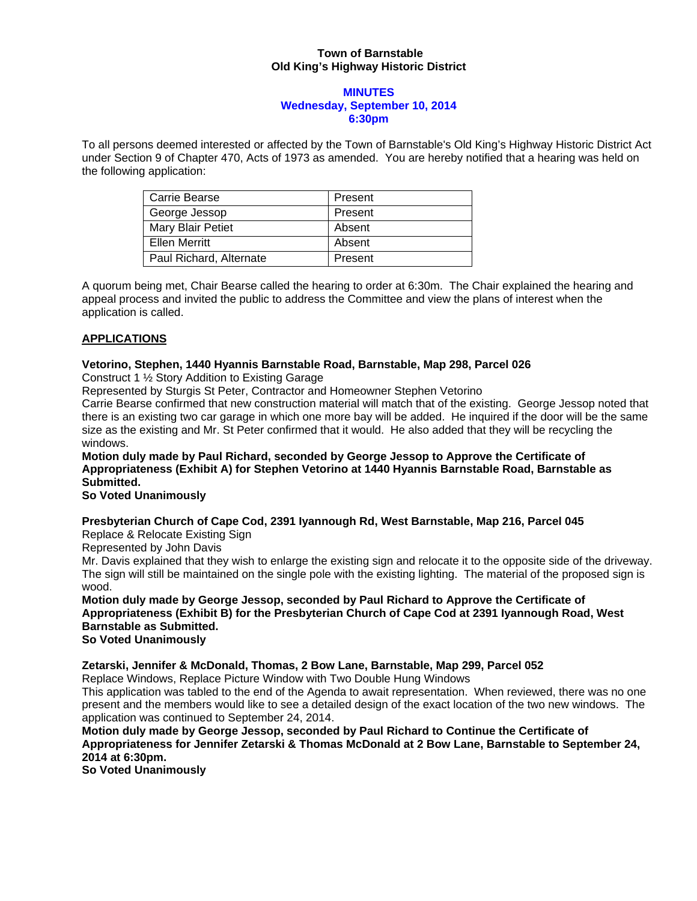#### **Town of Barnstable Old King's Highway Historic District**

#### **MINUTES Wednesday, September 10, 2014 6:30pm**

To all persons deemed interested or affected by the Town of Barnstable's Old King's Highway Historic District Act under Section 9 of Chapter 470, Acts of 1973 as amended. You are hereby notified that a hearing was held on the following application:

| Carrie Bearse           | Present |
|-------------------------|---------|
| George Jessop           | Present |
| Mary Blair Petiet       | Absent  |
| Ellen Merritt           | Absent  |
| Paul Richard, Alternate | Present |

A quorum being met, Chair Bearse called the hearing to order at 6:30m. The Chair explained the hearing and appeal process and invited the public to address the Committee and view the plans of interest when the application is called.

# **APPLICATIONS**

# **Vetorino, Stephen, 1440 Hyannis Barnstable Road, Barnstable, Map 298, Parcel 026**

Construct 1 ½ Story Addition to Existing Garage

Represented by Sturgis St Peter, Contractor and Homeowner Stephen Vetorino

Carrie Bearse confirmed that new construction material will match that of the existing. George Jessop noted that there is an existing two car garage in which one more bay will be added. He inquired if the door will be the same size as the existing and Mr. St Peter confirmed that it would. He also added that they will be recycling the windows.

**Motion duly made by Paul Richard, seconded by George Jessop to Approve the Certificate of Appropriateness (Exhibit A) for Stephen Vetorino at 1440 Hyannis Barnstable Road, Barnstable as Submitted.** 

# **So Voted Unanimously**

# **Presbyterian Church of Cape Cod, 2391 Iyannough Rd, West Barnstable, Map 216, Parcel 045**

Replace & Relocate Existing Sign

Represented by John Davis

Mr. Davis explained that they wish to enlarge the existing sign and relocate it to the opposite side of the driveway. The sign will still be maintained on the single pole with the existing lighting. The material of the proposed sign is wood.

**Motion duly made by George Jessop, seconded by Paul Richard to Approve the Certificate of Appropriateness (Exhibit B) for the Presbyterian Church of Cape Cod at 2391 Iyannough Road, West Barnstable as Submitted.** 

**So Voted Unanimously** 

**Zetarski, Jennifer & McDonald, Thomas, 2 Bow Lane, Barnstable, Map 299, Parcel 052** 

Replace Windows, Replace Picture Window with Two Double Hung Windows

This application was tabled to the end of the Agenda to await representation. When reviewed, there was no one present and the members would like to see a detailed design of the exact location of the two new windows. The application was continued to September 24, 2014.

**Motion duly made by George Jessop, seconded by Paul Richard to Continue the Certificate of Appropriateness for Jennifer Zetarski & Thomas McDonald at 2 Bow Lane, Barnstable to September 24, 2014 at 6:30pm.** 

**So Voted Unanimously**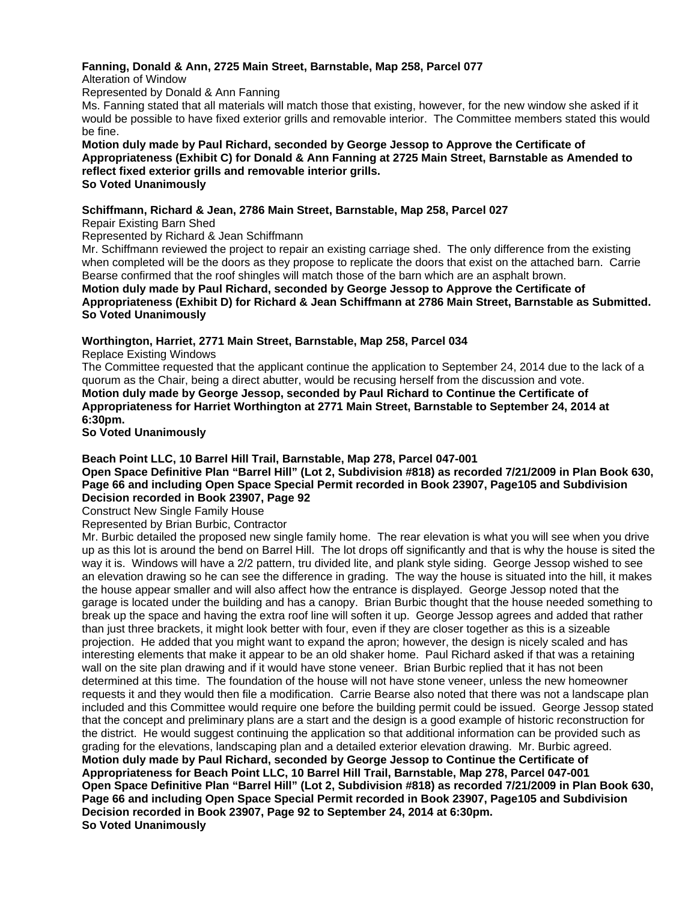### **Fanning, Donald & Ann, 2725 Main Street, Barnstable, Map 258, Parcel 077**

Alteration of Window

Represented by Donald & Ann Fanning

Ms. Fanning stated that all materials will match those that existing, however, for the new window she asked if it would be possible to have fixed exterior grills and removable interior. The Committee members stated this would be fine.

**Motion duly made by Paul Richard, seconded by George Jessop to Approve the Certificate of Appropriateness (Exhibit C) for Donald & Ann Fanning at 2725 Main Street, Barnstable as Amended to reflect fixed exterior grills and removable interior grills. So Voted Unanimously** 

# **Schiffmann, Richard & Jean, 2786 Main Street, Barnstable, Map 258, Parcel 027**

Repair Existing Barn Shed

#### Represented by Richard & Jean Schiffmann

Mr. Schiffmann reviewed the project to repair an existing carriage shed. The only difference from the existing when completed will be the doors as they propose to replicate the doors that exist on the attached barn. Carrie Bearse confirmed that the roof shingles will match those of the barn which are an asphalt brown.

**Motion duly made by Paul Richard, seconded by George Jessop to Approve the Certificate of Appropriateness (Exhibit D) for Richard & Jean Schiffmann at 2786 Main Street, Barnstable as Submitted. So Voted Unanimously** 

#### **Worthington, Harriet, 2771 Main Street, Barnstable, Map 258, Parcel 034**

Replace Existing Windows

The Committee requested that the applicant continue the application to September 24, 2014 due to the lack of a quorum as the Chair, being a direct abutter, would be recusing herself from the discussion and vote. **Motion duly made by George Jessop, seconded by Paul Richard to Continue the Certificate of Appropriateness for Harriet Worthington at 2771 Main Street, Barnstable to September 24, 2014 at 6:30pm.** 

#### **So Voted Unanimously**

# **Beach Point LLC, 10 Barrel Hill Trail, Barnstable, Map 278, Parcel 047-001**

**Open Space Definitive Plan "Barrel Hill" (Lot 2, Subdivision #818) as recorded 7/21/2009 in Plan Book 630, Page 66 and including Open Space Special Permit recorded in Book 23907, Page105 and Subdivision Decision recorded in Book 23907, Page 92** 

Construct New Single Family House

Represented by Brian Burbic, Contractor

Mr. Burbic detailed the proposed new single family home. The rear elevation is what you will see when you drive up as this lot is around the bend on Barrel Hill. The lot drops off significantly and that is why the house is sited the way it is. Windows will have a 2/2 pattern, tru divided lite, and plank style siding. George Jessop wished to see an elevation drawing so he can see the difference in grading. The way the house is situated into the hill, it makes the house appear smaller and will also affect how the entrance is displayed. George Jessop noted that the garage is located under the building and has a canopy. Brian Burbic thought that the house needed something to break up the space and having the extra roof line will soften it up. George Jessop agrees and added that rather than just three brackets, it might look better with four, even if they are closer together as this is a sizeable projection. He added that you might want to expand the apron; however, the design is nicely scaled and has interesting elements that make it appear to be an old shaker home. Paul Richard asked if that was a retaining wall on the site plan drawing and if it would have stone veneer. Brian Burbic replied that it has not been determined at this time. The foundation of the house will not have stone veneer, unless the new homeowner requests it and they would then file a modification. Carrie Bearse also noted that there was not a landscape plan included and this Committee would require one before the building permit could be issued. George Jessop stated that the concept and preliminary plans are a start and the design is a good example of historic reconstruction for the district. He would suggest continuing the application so that additional information can be provided such as grading for the elevations, landscaping plan and a detailed exterior elevation drawing. Mr. Burbic agreed. **Motion duly made by Paul Richard, seconded by George Jessop to Continue the Certificate of Appropriateness for Beach Point LLC, 10 Barrel Hill Trail, Barnstable, Map 278, Parcel 047-001 Open Space Definitive Plan "Barrel Hill" (Lot 2, Subdivision #818) as recorded 7/21/2009 in Plan Book 630, Page 66 and including Open Space Special Permit recorded in Book 23907, Page105 and Subdivision Decision recorded in Book 23907, Page 92 to September 24, 2014 at 6:30pm. So Voted Unanimously**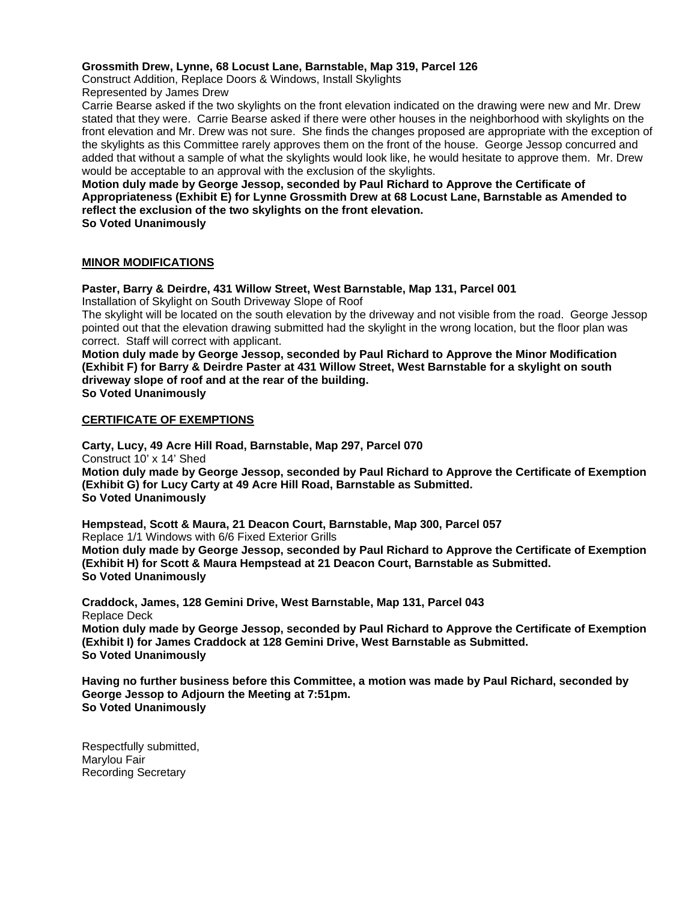#### **Grossmith Drew, Lynne, 68 Locust Lane, Barnstable, Map 319, Parcel 126**

Construct Addition, Replace Doors & Windows, Install Skylights Represented by James Drew

Carrie Bearse asked if the two skylights on the front elevation indicated on the drawing were new and Mr. Drew stated that they were. Carrie Bearse asked if there were other houses in the neighborhood with skylights on the front elevation and Mr. Drew was not sure. She finds the changes proposed are appropriate with the exception of the skylights as this Committee rarely approves them on the front of the house. George Jessop concurred and added that without a sample of what the skylights would look like, he would hesitate to approve them. Mr. Drew would be acceptable to an approval with the exclusion of the skylights.

# **Motion duly made by George Jessop, seconded by Paul Richard to Approve the Certificate of Appropriateness (Exhibit E) for Lynne Grossmith Drew at 68 Locust Lane, Barnstable as Amended to reflect the exclusion of the two skylights on the front elevation.**

**So Voted Unanimously** 

#### **MINOR MODIFICATIONS**

# **Paster, Barry & Deirdre, 431 Willow Street, West Barnstable, Map 131, Parcel 001**

Installation of Skylight on South Driveway Slope of Roof

The skylight will be located on the south elevation by the driveway and not visible from the road. George Jessop pointed out that the elevation drawing submitted had the skylight in the wrong location, but the floor plan was correct. Staff will correct with applicant.

**Motion duly made by George Jessop, seconded by Paul Richard to Approve the Minor Modification (Exhibit F) for Barry & Deirdre Paster at 431 Willow Street, West Barnstable for a skylight on south driveway slope of roof and at the rear of the building. So Voted Unanimously** 

#### **CERTIFICATE OF EXEMPTIONS**

**Carty, Lucy, 49 Acre Hill Road, Barnstable, Map 297, Parcel 070**  Construct 10' x 14' Shed **Motion duly made by George Jessop, seconded by Paul Richard to Approve the Certificate of Exemption (Exhibit G) for Lucy Carty at 49 Acre Hill Road, Barnstable as Submitted. So Voted Unanimously** 

**Hempstead, Scott & Maura, 21 Deacon Court, Barnstable, Map 300, Parcel 057**  Replace 1/1 Windows with 6/6 Fixed Exterior Grills **Motion duly made by George Jessop, seconded by Paul Richard to Approve the Certificate of Exemption (Exhibit H) for Scott & Maura Hempstead at 21 Deacon Court, Barnstable as Submitted. So Voted Unanimously** 

**Craddock, James, 128 Gemini Drive, West Barnstable, Map 131, Parcel 043**  Replace Deck **Motion duly made by George Jessop, seconded by Paul Richard to Approve the Certificate of Exemption (Exhibit I) for James Craddock at 128 Gemini Drive, West Barnstable as Submitted. So Voted Unanimously** 

**Having no further business before this Committee, a motion was made by Paul Richard, seconded by George Jessop to Adjourn the Meeting at 7:51pm. So Voted Unanimously** 

Respectfully submitted, Marylou Fair Recording Secretary